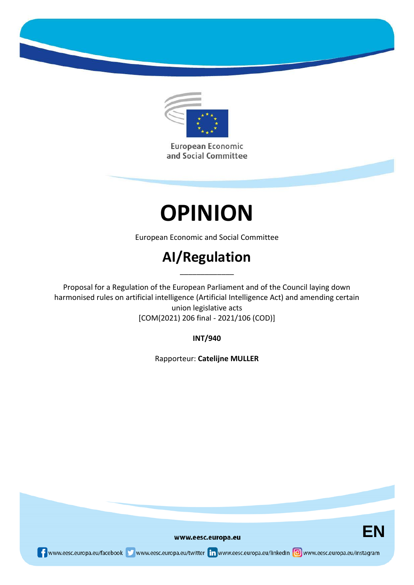

European Economic and Social Committee

# **OPINION**

European Economic and Social Committee

# **AI/Regulation**

\_\_\_\_\_\_\_\_\_\_\_\_\_

Proposal for a Regulation of the European Parliament and of the Council laying down harmonised rules on artificial intelligence (Artificial Intelligence Act) and amending certain union legislative acts [COM(2021) 206 final - 2021/106 (COD)]

**INT/940**

Rapporteur: **Catelijne MULLER**



www.eesc.europa.eu

www.eesc.europa.eu/facebook www.eesc.europa.eu/twitter in www.eesc.europa.eu/linkedin oww.eesc.europa.eu/instagram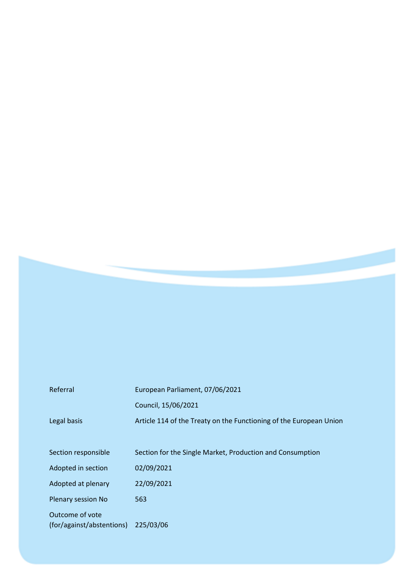| Referral                  | European Parliament, 07/06/2021                                    |
|---------------------------|--------------------------------------------------------------------|
|                           | Council, 15/06/2021                                                |
| Legal basis               | Article 114 of the Treaty on the Functioning of the European Union |
|                           |                                                                    |
| Section responsible       | Section for the Single Market, Production and Consumption          |
| Adopted in section        | 02/09/2021                                                         |
| Adopted at plenary        | 22/09/2021                                                         |
| Plenary session No        | 563                                                                |
| Outcome of vote           |                                                                    |
| (for/against/abstentions) | 225/03/06                                                          |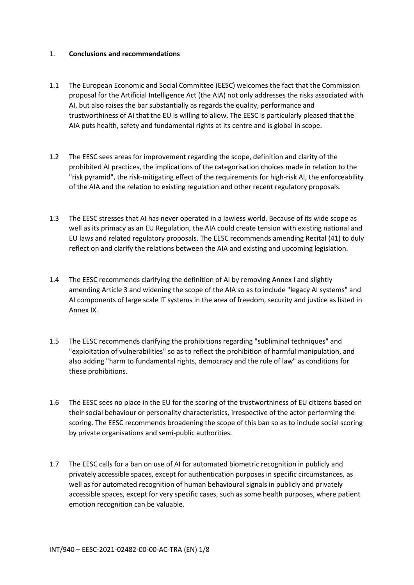#### 1. **Conclusions and recommendations**

- 1.1 The European Economic and Social Committee (EESC) welcomes the fact that the Commission proposal for the Artificial Intelligence Act (the AIA) not only addresses the risks associated with AI, but also raises the bar substantially as regards the quality, performance and trustworthiness of AI that the EU is willing to allow. The EESC is particularly pleased that the AIA puts health, safety and fundamental rights at its centre and is global in scope.
- 1.2 The EESC sees areas for improvement regarding the scope, definition and clarity of the prohibited AI practices, the implications of the categorisation choices made in relation to the "risk pyramid", the risk-mitigating effect of the requirements for high-risk AI, the enforceability of the AIA and the relation to existing regulation and other recent regulatory proposals.
- 1.3 The EESC stresses that AI has never operated in a lawless world. Because of its wide scope as well as its primacy as an EU Regulation, the AIA could create tension with existing national and EU laws and related regulatory proposals. The EESC recommends amending Recital (41) to duly reflect on and clarify the relations between the AIA and existing and upcoming legislation.
- 1.4 The EESC recommends clarifying the definition of AI by removing Annex I and slightly amending Article 3 and widening the scope of the AIA so as to include "legacy AI systems" and AI components of large scale IT systems in the area of freedom, security and justice as listed in Annex IX.
- 1.5 The EESC recommends clarifying the prohibitions regarding "subliminal techniques" and "exploitation of vulnerabilities" so as to reflect the prohibition of harmful manipulation, and also adding "harm to fundamental rights, democracy and the rule of law" as conditions for these prohibitions.
- 1.6 The EESC sees no place in the EU for the scoring of the trustworthiness of EU citizens based on their social behaviour or personality characteristics, irrespective of the actor performing the scoring. The EESC recommends broadening the scope of this ban so as to include social scoring by private organisations and semi-public authorities.
- 1.7 The EESC calls for a ban on use of AI for automated biometric recognition in publicly and privately accessible spaces, except for authentication purposes in specific circumstances, as well as for automated recognition of human behavioural signals in publicly and privately accessible spaces, except for very specific cases, such as some health purposes, where patient emotion recognition can be valuable.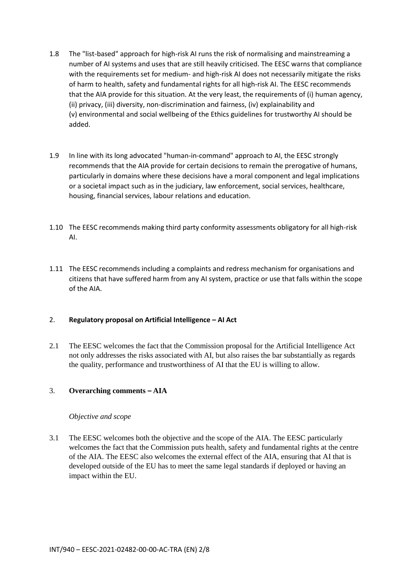- 1.8 The "list-based" approach for high-risk AI runs the risk of normalising and mainstreaming a number of AI systems and uses that are still heavily criticised. The EESC warns that compliance with the requirements set for medium- and high-risk AI does not necessarily mitigate the risks of harm to health, safety and fundamental rights for all high-risk AI. The EESC recommends that the AIA provide for this situation. At the very least, the requirements of (i) human agency, (ii) privacy, (iii) diversity, non-discrimination and fairness, (iv) explainability and (v) environmental and social wellbeing of the Ethics guidelines for trustworthy AI should be added.
- 1.9 In line with its long advocated "human-in-command" approach to AI, the EESC strongly recommends that the AIA provide for certain decisions to remain the prerogative of humans, particularly in domains where these decisions have a moral component and legal implications or a societal impact such as in the judiciary, law enforcement, social services, healthcare, housing, financial services, labour relations and education.
- 1.10 The EESC recommends making third party conformity assessments obligatory for all high-risk AI.
- 1.11 The EESC recommends including a complaints and redress mechanism for organisations and citizens that have suffered harm from any AI system, practice or use that falls within the scope of the AIA.

# 2. **Regulatory proposal on Artificial Intelligence – AI Act**

2.1 The EESC welcomes the fact that the Commission proposal for the Artificial Intelligence Act not only addresses the risks associated with AI, but also raises the bar substantially as regards the quality, performance and trustworthiness of AI that the EU is willing to allow.

#### 3. **Overarching comments – AIA**

#### *Objective and scope*

3.1 The EESC welcomes both the objective and the scope of the AIA. The EESC particularly welcomes the fact that the Commission puts health, safety and fundamental rights at the centre of the AIA. The EESC also welcomes the external effect of the AIA, ensuring that AI that is developed outside of the EU has to meet the same legal standards if deployed or having an impact within the EU.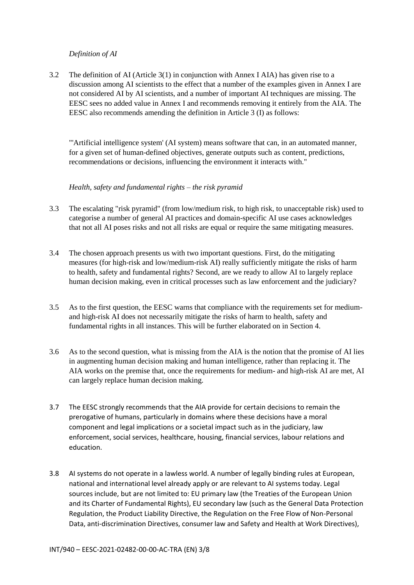#### *Definition of AI*

3.2 The definition of AI (Article 3(1) in conjunction with Annex I AIA) has given rise to a discussion among AI scientists to the effect that a number of the examples given in Annex I are not considered AI by AI scientists, and a number of important AI techniques are missing. The EESC sees no added value in Annex I and recommends removing it entirely from the AIA. The EESC also recommends amending the definition in Article 3 (I) as follows:

"'Artificial intelligence system' (AI system) means software that can, in an automated manner, for a given set of human-defined objectives, generate outputs such as content, predictions, recommendations or decisions, influencing the environment it interacts with."

#### *Health, safety and fundamental rights – the risk pyramid*

- 3.3 The escalating "risk pyramid" (from low/medium risk, to high risk, to unacceptable risk) used to categorise a number of general AI practices and domain-specific AI use cases acknowledges that not all AI poses risks and not all risks are equal or require the same mitigating measures.
- 3.4 The chosen approach presents us with two important questions. First, do the mitigating measures (for high-risk and low/medium-risk AI) really sufficiently mitigate the risks of harm to health, safety and fundamental rights? Second, are we ready to allow AI to largely replace human decision making, even in critical processes such as law enforcement and the judiciary?
- 3.5 As to the first question, the EESC warns that compliance with the requirements set for mediumand high-risk AI does not necessarily mitigate the risks of harm to health, safety and fundamental rights in all instances. This will be further elaborated on in Section 4.
- 3.6 As to the second question, what is missing from the AIA is the notion that the promise of AI lies in augmenting human decision making and human intelligence, rather than replacing it. The AIA works on the premise that, once the requirements for medium- and high-risk AI are met, AI can largely replace human decision making.
- 3.7 The EESC strongly recommends that the AIA provide for certain decisions to remain the prerogative of humans, particularly in domains where these decisions have a moral component and legal implications or a societal impact such as in the judiciary, law enforcement, social services, healthcare, housing, financial services, labour relations and education.
- 3.8 AI systems do not operate in a lawless world. A number of legally binding rules at European, national and international level already apply or are relevant to AI systems today. Legal sources include, but are not limited to: EU primary law (the Treaties of the European Union and its Charter of Fundamental Rights), EU secondary law (such as the General Data Protection Regulation, the Product Liability Directive, the Regulation on the Free Flow of Non-Personal Data, anti-discrimination Directives, consumer law and Safety and Health at Work Directives),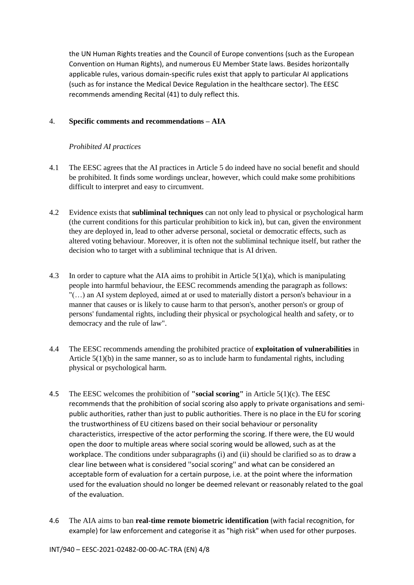the UN Human Rights treaties and the Council of Europe conventions (such as the European Convention on Human Rights), and numerous EU Member State laws. Besides horizontally applicable rules, various domain-specific rules exist that apply to particular AI applications (such as for instance the Medical Device Regulation in the healthcare sector). The EESC recommends amending Recital (41) to duly reflect this.

# 4. **Specific comments and recommendations – AIA**

#### *Prohibited AI practices*

- 4.1 The EESC agrees that the AI practices in Article 5 do indeed have no social benefit and should be prohibited. It finds some wordings unclear, however, which could make some prohibitions difficult to interpret and easy to circumvent.
- 4.2 Evidence exists that **subliminal techniques** can not only lead to physical or psychological harm (the current conditions for this particular prohibition to kick in), but can, given the environment they are deployed in, lead to other adverse personal, societal or democratic effects, such as altered voting behaviour. Moreover, it is often not the subliminal technique itself, but rather the decision who to target with a subliminal technique that is AI driven.
- 4.3 In order to capture what the AIA aims to prohibit in Article 5(1)(a), which is manipulating people into harmful behaviour, the EESC recommends amending the paragraph as follows: "(…) an AI system deployed, aimed at or used to materially distort a person's behaviour in a manner that causes or is likely to cause harm to that person's, another person's or group of persons' fundamental rights, including their physical or psychological health and safety, or to democracy and the rule of law".
- 4.4 The EESC recommends amending the prohibited practice of **exploitation of vulnerabilities** in Article  $5(1)(b)$  in the same manner, so as to include harm to fundamental rights, including physical or psychological harm.
- 4.5 The EESC welcomes the prohibition of **"social scoring"** in Article 5(1)(c). The EESC recommends that the prohibition of social scoring also apply to private organisations and semipublic authorities, rather than just to public authorities. There is no place in the EU for scoring the trustworthiness of EU citizens based on their social behaviour or personality characteristics, irrespective of the actor performing the scoring. If there were, the EU would open the door to multiple areas where social scoring would be allowed, such as at the workplace. The conditions under subparagraphs (i) and (ii) should be clarified so as to draw a clear line between what is considered ''social scoring'' and what can be considered an acceptable form of evaluation for a certain purpose, i.e. at the point where the information used for the evaluation should no longer be deemed relevant or reasonably related to the goal of the evaluation.
- 4.6 The AIA aims to ban **real-time remote biometric identification** (with facial recognition, for example) for law enforcement and categorise it as "high risk" when used for other purposes.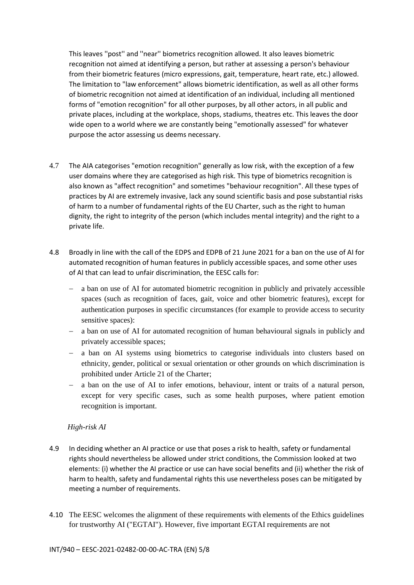This leaves ''post'' and ''near'' biometrics recognition allowed. It also leaves biometric recognition not aimed at identifying a person, but rather at assessing a person's behaviour from their biometric features (micro expressions, gait, temperature, heart rate, etc.) allowed. The limitation to "law enforcement" allows biometric identification, as well as all other forms of biometric recognition not aimed at identification of an individual, including all mentioned forms of "emotion recognition" for all other purposes, by all other actors, in all public and private places, including at the workplace, shops, stadiums, theatres etc. This leaves the door wide open to a world where we are constantly being "emotionally assessed" for whatever purpose the actor assessing us deems necessary.

- 4.7 The AIA categorises "emotion recognition" generally as low risk, with the exception of a few user domains where they are categorised as high risk. This type of biometrics recognition is also known as "affect recognition" and sometimes "behaviour recognition". All these types of practices by AI are extremely invasive, lack any sound scientific basis and pose substantial risks of harm to a number of fundamental rights of the EU Charter, such as the right to human dignity, the right to integrity of the person (which includes mental integrity) and the right to a private life.
- 4.8 Broadly in line with the call of the EDPS and EDPB of 21 June 2021 for a ban on the use of AI for automated recognition of human features in publicly accessible spaces, and some other uses of AI that can lead to unfair discrimination, the EESC calls for:
	- a ban on use of AI for automated biometric recognition in publicly and privately accessible spaces (such as recognition of faces, gait, voice and other biometric features), except for authentication purposes in specific circumstances (for example to provide access to security sensitive spaces):
	- a ban on use of AI for automated recognition of human behavioural signals in publicly and privately accessible spaces;
	- a ban on AI systems using biometrics to categorise individuals into clusters based on ethnicity, gender, political or sexual orientation or other grounds on which discrimination is prohibited under Article 21 of the Charter;
	- a ban on the use of AI to infer emotions, behaviour, intent or traits of a natural person, except for very specific cases, such as some health purposes, where patient emotion recognition is important.

# *High-risk AI*

- 4.9 In deciding whether an AI practice or use that poses a risk to health, safety or fundamental rights should nevertheless be allowed under strict conditions, the Commission looked at two elements: (i) whether the AI practice or use can have social benefits and (ii) whether the risk of harm to health, safety and fundamental rights this use nevertheless poses can be mitigated by meeting a number of requirements.
- 4.10 The EESC welcomes the alignment of these requirements with elements of the Ethics guidelines for trustworthy AI ("EGTAI"). However, five important EGTAI requirements are not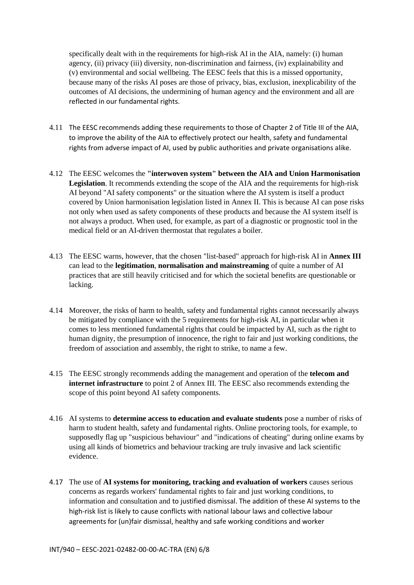specifically dealt with in the requirements for high-risk AI in the AIA, namely: (i) human agency, (ii) privacy (iii) diversity, non-discrimination and fairness, (iv) explainability and (v) environmental and social wellbeing. The EESC feels that this is a missed opportunity, because many of the risks AI poses are those of privacy, bias, exclusion, inexplicability of the outcomes of AI decisions, the undermining of human agency and the environment and all are reflected in our fundamental rights.

- 4.11 The EESC recommends adding these requirements to those of Chapter 2 of Title III of the AIA, to improve the ability of the AIA to effectively protect our health, safety and fundamental rights from adverse impact of AI, used by public authorities and private organisations alike.
- 4.12 The EESC welcomes the **"interwoven system" between the AIA and Union Harmonisation Legislation**. It recommends extending the scope of the AIA and the requirements for high-risk AI beyond "AI safety components" or the situation where the AI system is itself a product covered by Union harmonisation legislation listed in Annex II. This is because AI can pose risks not only when used as safety components of these products and because the AI system itself is not always a product. When used, for example, as part of a diagnostic or prognostic tool in the medical field or an AI-driven thermostat that regulates a boiler.
- 4.13 The EESC warns, however, that the chosen "list-based" approach for high-risk AI in **Annex III** can lead to the **legitimation**, **normalisation and mainstreaming** of quite a number of AI practices that are still heavily criticised and for which the societal benefits are questionable or lacking.
- 4.14 Moreover, the risks of harm to health, safety and fundamental rights cannot necessarily always be mitigated by compliance with the 5 requirements for high-risk AI, in particular when it comes to less mentioned fundamental rights that could be impacted by AI, such as the right to human dignity, the presumption of innocence, the right to fair and just working conditions, the freedom of association and assembly, the right to strike, to name a few.
- 4.15 The EESC strongly recommends adding the management and operation of the **telecom and internet infrastructure** to point 2 of Annex III. The EESC also recommends extending the scope of this point beyond AI safety components.
- 4.16 AI systems to **determine access to education and evaluate students** pose a number of risks of harm to student health, safety and fundamental rights. Online proctoring tools, for example, to supposedly flag up "suspicious behaviour" and "indications of cheating" during online exams by using all kinds of biometrics and behaviour tracking are truly invasive and lack scientific evidence.
- 4.17 The use of **AI systems for monitoring, tracking and evaluation of workers** causes serious concerns as regards workers' fundamental rights to fair and just working conditions, to information and consultation and to justified dismissal. The addition of these AI systems to the high-risk list is likely to cause conflicts with national labour laws and collective labour agreements for (un)fair dismissal, healthy and safe working conditions and worker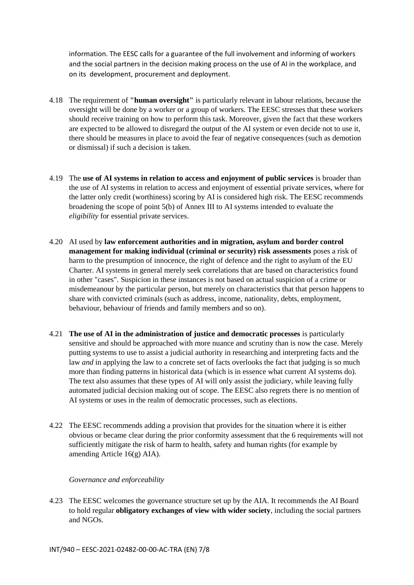information. The EESC calls for a guarantee of the full involvement and informing of workers and the social partners in the decision making process on the use of AI in the workplace, and on its development, procurement and deployment.

- 4.18 The requirement of **"human oversight"** is particularly relevant in labour relations, because the oversight will be done by a worker or a group of workers. The EESC stresses that these workers should receive training on how to perform this task. Moreover, given the fact that these workers are expected to be allowed to disregard the output of the AI system or even decide not to use it, there should be measures in place to avoid the fear of negative consequences (such as demotion or dismissal) if such a decision is taken.
- 4.19 The **use of AI systems in relation to access and enjoyment of public services** is broader than the use of AI systems in relation to access and enjoyment of essential private services, where for the latter only credit (worthiness) scoring by AI is considered high risk. The EESC recommends broadening the scope of point 5(b) of Annex III to AI systems intended to evaluate the *eligibility* for essential private services.
- 4.20 AI used by **law enforcement authorities and in migration, asylum and border control management for making individual (criminal or security) risk assessments** poses a risk of harm to the presumption of innocence, the right of defence and the right to asylum of the EU Charter. AI systems in general merely seek correlations that are based on characteristics found in other "cases". Suspicion in these instances is not based on actual suspicion of a crime or misdemeanour by the particular person, but merely on characteristics that that person happens to share with convicted criminals (such as address, income, nationality, debts, employment, behaviour, behaviour of friends and family members and so on).
- 4.21 **The use of AI in the administration of justice and democratic processes** is particularly sensitive and should be approached with more nuance and scrutiny than is now the case. Merely putting systems to use to assist a judicial authority in researching and interpreting facts and the law *and* in applying the law to a concrete set of facts overlooks the fact that judging is so much more than finding patterns in historical data (which is in essence what current AI systems do). The text also assumes that these types of AI will only assist the judiciary, while leaving fully automated judicial decision making out of scope. The EESC also regrets there is no mention of AI systems or uses in the realm of democratic processes, such as elections.
- 4.22 The EESC recommends adding a provision that provides for the situation where it is either obvious or became clear during the prior conformity assessment that the 6 requirements will not sufficiently mitigate the risk of harm to health, safety and human rights (for example by amending Article 16(g) AIA).

#### *Governance and enforceability*

4.23 The EESC welcomes the governance structure set up by the AIA. It recommends the AI Board to hold regular **obligatory exchanges of view with wider society**, including the social partners and NGOs.